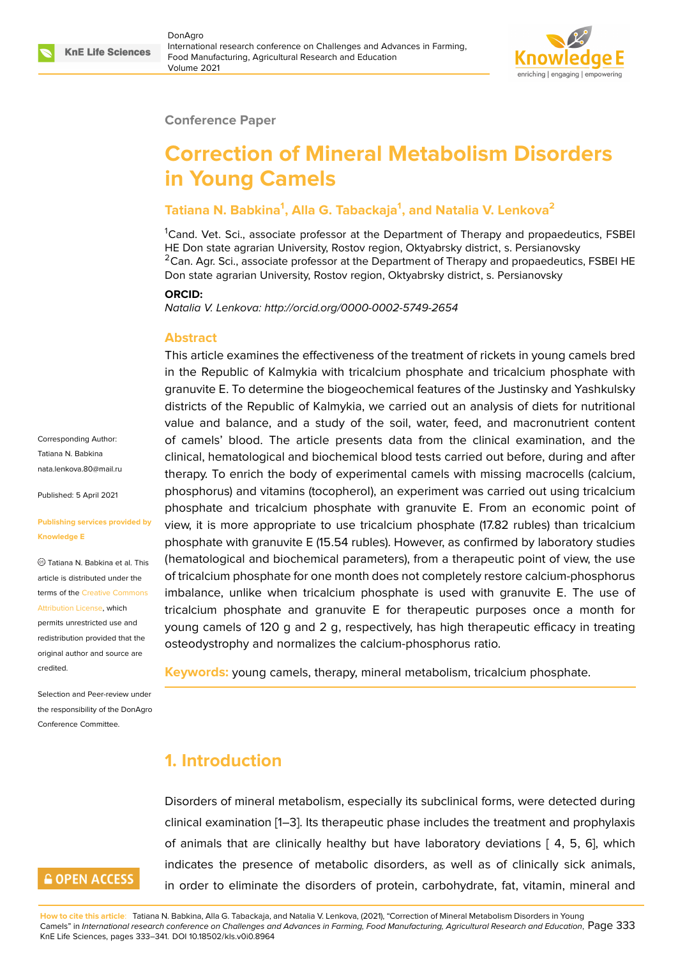

#### **Conference Paper**

# **Correction of Mineral Metabolism Disorders in Young Camels**

### **Tatiana N. Babkina<sup>1</sup> , Alla G. Tabackaja<sup>1</sup> , and Natalia V. Lenkova<sup>2</sup>**

<sup>1</sup>Cand. Vet. Sci., associate professor at the Department of Therapy and propaedeutics, FSBEI HE Don state agrarian University, Rostov region, Oktyabrsky district, s. Persianovsky  ${}^{2}$ Can. Agr. Sci., associate professor at the Department of Therapy and propaedeutics, FSBEI HE Don state agrarian University, Rostov region, Oktyabrsky district, s. Persianovsky

#### **ORCID:**

*Natalia V. Lenkova: http://orcid.org/0000-0002-5749-2654*

#### **Abstract**

This article examines the effectiveness of the treatment of rickets in young camels bred in the Republic of Kalmykia with tricalcium phosphate and tricalcium phosphate with granuvite E. To determine the biogeochemical features of the Justinsky and Yashkulsky districts of the Republic of Kalmykia, we carried out an analysis of diets for nutritional value and balance, and a study of the soil, water, feed, and macronutrient content of camels' blood. The article presents data from the clinical examination, and the clinical, hematological and biochemical blood tests carried out before, during and after therapy. To enrich the body of experimental camels with missing macrocells (calcium, phosphorus) and vitamins (tocopherol), an experiment was carried out using tricalcium phosphate and tricalcium phosphate with granuvite E. From an economic point of view, it is more appropriate to use tricalcium phosphate (17.82 rubles) than tricalcium phosphate with granuvite E (15.54 rubles). However, as confirmed by laboratory studies (hematological and biochemical parameters), from a therapeutic point of view, the use of tricalcium phosphate for one month does not completely restore calcium-phosphorus imbalance, unlike when tricalcium phosphate is used with granuvite E. The use of tricalcium phosphate and granuvite E for therapeutic purposes once a month for young camels of 120 g and 2 g, respectively, has high therapeutic efficacy in treating osteodystrophy and normalizes the calcium-phosphorus ratio.

**Keywords:** young camels, therapy, mineral metabolism, tricalcium phosphate.

### **1. Introduction**

Disorders of mineral metabolism, especially its subclinical forms, were detected during clinical examination [1–3]. Its therapeutic phase includes the treatment and prophylaxis of animals that are clinically healthy but have laboratory deviations [ 4, 5, 6], which indicates the presence of metabolic disorders, as well as of clinically sick animals, in order to eliminat[e](#page-7-0) t[he](#page-7-1) disorders of protein, carbohydrate, fat, vitamin, mineral and

**How to cite this article**: Tatiana N. Babkina, Alla G. Tabackaja, and Natalia V. Lenkova, (2021), "Correction of Mineral Metabolism Disorders in Young Camels" in *International research conference on Challenges and Advances in Farming, Food Manufacturing, Agricultural Research and Education*, Page 333 KnE Life Sciences, pages 333–341. DOI 10.18502/kls.v0i0.8964

Corresponding Author: Tatiana N. Babkina nata.lenkova.80@mail.ru

Published: 5 April 2021

#### **[Publishing services prov](mailto:nata.lenkova.80@mail.ru)ided by Knowledge E**

Tatiana N. Babkina et al. This article is distributed under the terms of the Creative Commons Attribution License, which

permits unrestricted use and redistribution provided that the original auth[or and source are](https://creativecommons.org/licenses/by/4.0/) [credited.](https://creativecommons.org/licenses/by/4.0/)

Selection and Peer-review under the responsibility of the DonAgro Conference Committee.

# **GOPEN ACCESS**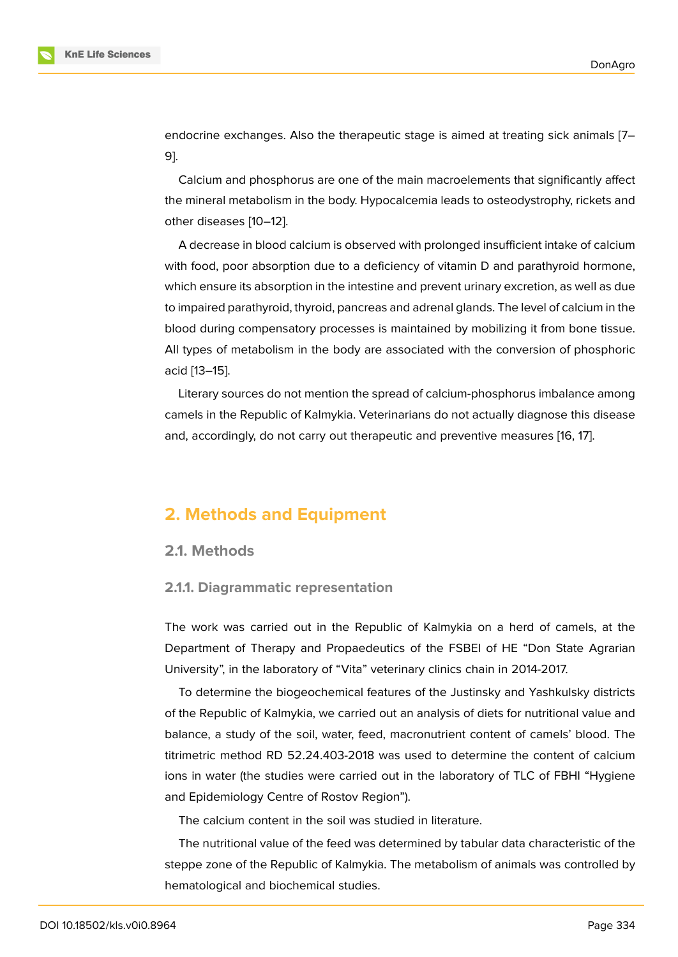endocrine exchanges. Also the therapeutic stage is aimed at treating sick animals [7– 9].

Calcium and phosphorus are one of the main macroelements that significantly affect the mineral metabolism in the body. Hypocalcemia leads to osteodystrophy, rickets a[n](#page-7-2)d [o](#page-8-0)ther diseases [10–12].

A decrease in blood calcium is observed with prolonged insufficient intake of calcium with food, poor absorption due to a deficiency of vitamin D and parathyroid hormone, which ensure it[s ab](#page-8-1)[sor](#page-8-2)ption in the intestine and prevent urinary excretion, as well as due to impaired parathyroid, thyroid, pancreas and adrenal glands. The level of calcium in the blood during compensatory processes is maintained by mobilizing it from bone tissue. All types of metabolism in the body are associated with the conversion of phosphoric acid [13–15].

Literary sources do not mention the spread of calcium-phosphorus imbalance among camels in the Republic of Kalmykia. Veterinarians do not actually diagnose this disease and, [acc](#page-8-3)[ord](#page-8-4)ingly, do not carry out therapeutic and preventive measures [16, 17].

### **2. Methods and Equipment**

### **2.1. Methods**

### **2.1.1. Diagrammatic representation**

The work was carried out in the Republic of Kalmykia on a herd of camels, at the Department of Therapy and Propaedeutics of the FSBEI of HE "Don State Agrarian University", in the laboratory of "Vita" veterinary clinics chain in 2014-2017.

To determine the biogeochemical features of the Justinsky and Yashkulsky districts of the Republic of Kalmykia, we carried out an analysis of diets for nutritional value and balance, a study of the soil, water, feed, macronutrient content of camels' blood. The titrimetric method RD 52.24.403-2018 was used to determine the content of calcium ions in water (the studies were carried out in the laboratory of TLC of FBHI "Hygiene and Epidemiology Centre of Rostov Region").

The calcium content in the soil was studied in literature.

The nutritional value of the feed was determined by tabular data characteristic of the steppe zone of the Republic of Kalmykia. The metabolism of animals was controlled by hematological and biochemical studies.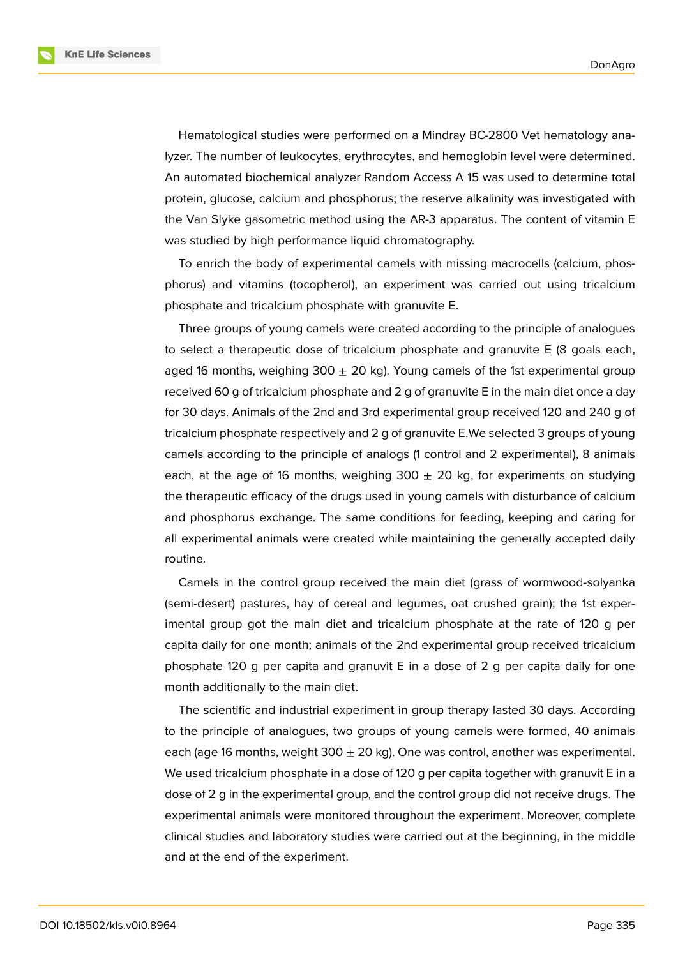**KnE Life Sciences** 

Hematological studies were performed on a Mindray BC-2800 Vet hematology analyzer. The number of leukocytes, erythrocytes, and hemoglobin level were determined. An automated biochemical analyzer Random Access A 15 was used to determine total protein, glucose, calcium and phosphorus; the reserve alkalinity was investigated with the Van Slyke gasometric method using the AR-3 apparatus. The content of vitamin E was studied by high performance liquid chromatography.

To enrich the body of experimental camels with missing macrocells (calcium, phosphorus) and vitamins (tocopherol), an experiment was carried out using tricalcium phosphate and tricalcium phosphate with granuvite E.

Three groups of young camels were created according to the principle of analogues to select a therapeutic dose of tricalcium phosphate and granuvite E (8 goals each, aged 16 months, weighing 300  $\pm$  20 kg). Young camels of the 1st experimental group received 60 g of tricalcium phosphate and 2 g of granuvite E in the main diet once a day for 30 days. Animals of the 2nd and 3rd experimental group received 120 and 240 g of tricalcium phosphate respectively and 2 g of granuvite E.We selected 3 groups of young camels according to the principle of analogs (1 control and 2 experimental), 8 animals each, at the age of 16 months, weighing 300  $\pm$  20 kg, for experiments on studying the therapeutic efficacy of the drugs used in young camels with disturbance of calcium and phosphorus exchange. The same conditions for feeding, keeping and caring for all experimental animals were created while maintaining the generally accepted daily routine.

Camels in the control group received the main diet (grass of wormwood-solyanka (semi-desert) pastures, hay of cereal and legumes, oat crushed grain); the 1st experimental group got the main diet and tricalcium phosphate at the rate of 120 g per capita daily for one month; animals of the 2nd experimental group received tricalcium phosphate 120 g per capita and granuvit E in a dose of 2 g per capita daily for one month additionally to the main diet.

The scientific and industrial experiment in group therapy lasted 30 days. According to the principle of analogues, two groups of young camels were formed, 40 animals each (age 16 months, weight  $300 \pm 20$  kg). One was control, another was experimental. We used tricalcium phosphate in a dose of 120 g per capita together with granuvit E in a dose of 2 g in the experimental group, and the control group did not receive drugs. The experimental animals were monitored throughout the experiment. Moreover, complete clinical studies and laboratory studies were carried out at the beginning, in the middle and at the end of the experiment.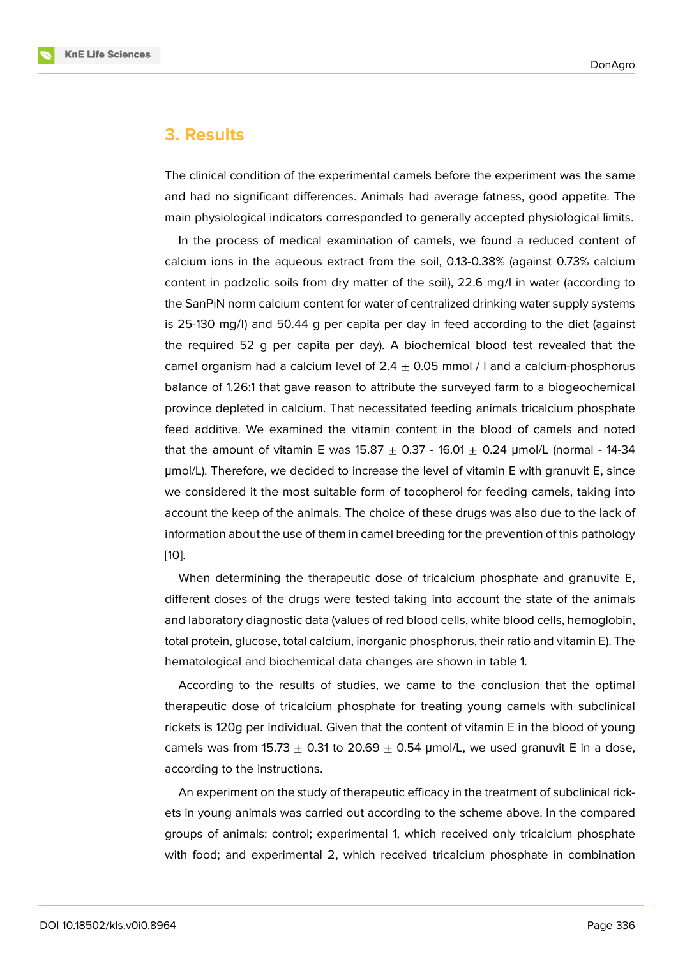### **3. Results**

The clinical condition of the experimental camels before the experiment was the same and had no significant differences. Animals had average fatness, good appetite. The main physiological indicators corresponded to generally accepted physiological limits.

In the process of medical examination of camels, we found a reduced content of calcium ions in the aqueous extract from the soil, 0.13-0.38% (against 0.73% calcium content in podzolic soils from dry matter of the soil), 22.6 mg/l in water (according to the SanPiN norm calcium content for water of centralized drinking water supply systems is 25-130 mg/l) and 50.44 g per capita per day in feed according to the diet (against the required 52 g per capita per day). A biochemical blood test revealed that the camel organism had a calcium level of  $2.4 \pm 0.05$  mmol / I and a calcium-phosphorus balance of 1.26:1 that gave reason to attribute the surveyed farm to a biogeochemical province depleted in calcium. That necessitated feeding animals tricalcium phosphate feed additive. We examined the vitamin content in the blood of camels and noted that the amount of vitamin E was  $15.87 \pm 0.37 - 16.01 \pm 0.24$  µmol/L (normal - 14-34 μmol/L). Therefore, we decided to increase the level of vitamin E with granuvit E, since we considered it the most suitable form of tocopherol for feeding camels, taking into account the keep of the animals. The choice of these drugs was also due to the lack of information about the use of them in camel breeding for the prevention of this pathology [10].

When determining the therapeutic dose of tricalcium phosphate and granuvite E, different doses of the drugs were tested taking into account the state of the animals [and](#page-8-1) laboratory diagnostic data (values of red blood cells, white blood cells, hemoglobin, total protein, glucose, total calcium, inorganic phosphorus, their ratio and vitamin E). The hematological and biochemical data changes are shown in table 1.

According to the results of studies, we came to the conclusion that the optimal therapeutic dose of tricalcium phosphate for treating young camels with subclinical rickets is 120g per individual. Given that the content of vitamin E in the blood of young camels was from 15.73  $\pm$  0.31 to 20.69  $\pm$  0.54 µmol/L, we used granuvit E in a dose, according to the instructions.

An experiment on the study of therapeutic efficacy in the treatment of subclinical rickets in young animals was carried out according to the scheme above. In the compared groups of animals: control; experimental 1, which received only tricalcium phosphate with food; and experimental 2, which received tricalcium phosphate in combination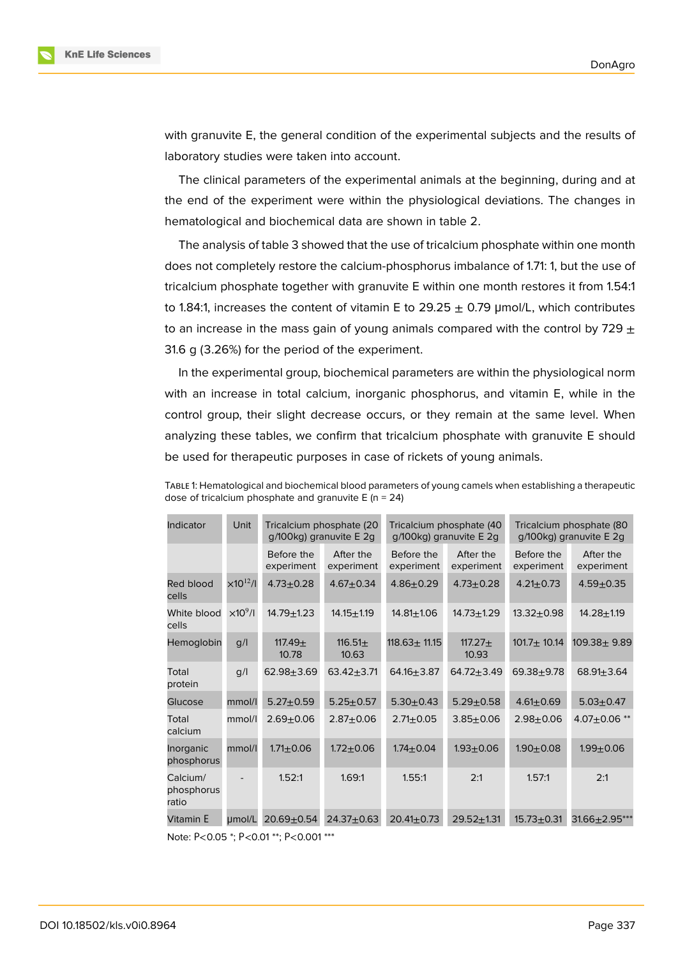



with granuvite E, the general condition of the experimental subjects and the results of laboratory studies were taken into account.

The clinical parameters of the experimental animals at the beginning, during and at the end of the experiment were within the physiological deviations. The changes in hematological and biochemical data are shown in table 2.

The analysis of table 3 showed that the use of tricalcium phosphate within one month does not completely restore the calcium-phosphorus imbalance of 1.71: 1, but the use of tricalcium phosphate together with granuvite E within one month restores it from 1.54:1 to 1.84:1, increases the content of vitamin E to 29.25  $\pm$  0.79 µmol/L, which contributes to an increase in the mass gain of young animals compared with the control by 729  $\pm$ 31.6 g (3.26%) for the period of the experiment.

In the experimental group, biochemical parameters are within the physiological norm with an increase in total calcium, inorganic phosphorus, and vitamin E, while in the control group, their slight decrease occurs, or they remain at the same level. When analyzing these tables, we confirm that tricalcium phosphate with granuvite E should be used for therapeutic purposes in case of rickets of young animals.

TABLE 1: Hematological and biochemical blood parameters of young camels when establishing a therapeutic dose of tricalcium phosphate and granuvite  $E(n = 24)$ 

| Indicator                                       | Unit                | Tricalcium phosphate (20<br>g/100kg) granuvite E 2g |                         | Tricalcium phosphate (40<br>g/100kg) granuvite E 2g |                         | Tricalcium phosphate (80<br>g/100kg) granuvite E 2g |                         |
|-------------------------------------------------|---------------------|-----------------------------------------------------|-------------------------|-----------------------------------------------------|-------------------------|-----------------------------------------------------|-------------------------|
|                                                 |                     | Before the<br>experiment                            | After the<br>experiment | Before the<br>experiment                            | After the<br>experiment | Before the<br>experiment                            | After the<br>experiment |
| Red blood<br>cells                              | $\times 10^{12}$ /I | $4.73 + 0.28$                                       | $4.67 + 0.34$           | $4.86 + 0.29$                                       | $4.73 \pm 0.28$         | $4.21 \pm 0.73$                                     | $4.59 + 0.35$           |
| White blood<br>cells                            | $\times 10^9$ /l    | $14.79 \pm 1.23$                                    | $14.15 + 1.19$          | $14.81 \pm 1.06$                                    | $14.73 + 1.29$          | $13.32 + 0.98$                                      | $14.28 + 1.19$          |
| Hemoglobin                                      | q/l                 | 117.49 $\pm$<br>10.78                               | 116.51 $\pm$<br>10.63   | $118.63 \pm 11.15$                                  | $117.27+$<br>10.93      | $101.7 \pm 10.14$                                   | $109.38 + 9.89$         |
| Total<br>protein                                | q/l                 | $62.98 + 3.69$                                      | $63.42 + 3.71$          | $64.16 + 3.87$                                      | $64.72 + 3.49$          | $69.38 + 9.78$                                      | $68.91 \pm 3.64$        |
| Glucose                                         | mmol/l              | $5.27 \pm 0.59$                                     | $5.25 \pm 0.57$         | $5.30 + 0.43$                                       | $5.29 + 0.58$           | $4.61 \pm 0.69$                                     | $5.03 \pm 0.47$         |
| Total<br>calcium                                | mmol/l              | $2.69 + 0.06$                                       | $2.87 + 0.06$           | $2.71 \pm 0.05$                                     | $3.85 + 0.06$           | $2.98 + 0.06$                                       | $4.07 \pm 0.06$ **      |
| Inorganic<br>phosphorus                         | mmol/l              | $1.71 \pm 0.06$                                     | $1.72 + 0.06$           | $1.74 \pm 0.04$                                     | $1.93 + 0.06$           | $1.90 + 0.08$                                       | $1.99 + 0.06$           |
| Calcium/<br>phosphorus<br>ratio                 |                     | 1.52:1                                              | 1.69:1                  | 1.55:1                                              | 2:1                     | 1.57:1                                              | 2:1                     |
| Vitamin E                                       | µmol/L              | $20.69 + 0.54$                                      | $24.37 + 0.63$          | $20.41 \pm 0.73$                                    | $29.52 \pm 1.31$        | $15.73 + 0.31$                                      | $31.66 \pm 2.95***$     |
| $R = 2R + R = 2R + 12R + R = 2R + 12R + R$<br>. |                     |                                                     |                         |                                                     |                         |                                                     |                         |

Note: Р<0.05 \*; Р<0.01 \*\*; Р<0.001 \*\*\*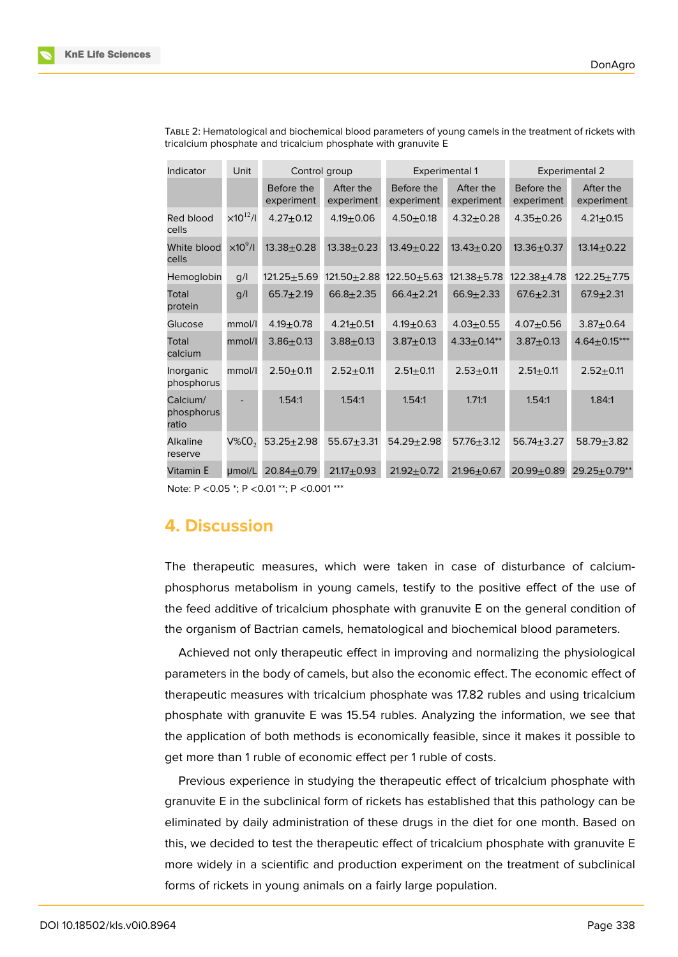| Indicator                                                                                                                   | Unit<br>Control group<br><b>Experimental 1</b> |                          |                         | <b>Experimental 2</b>    |                         |                          |                         |
|-----------------------------------------------------------------------------------------------------------------------------|------------------------------------------------|--------------------------|-------------------------|--------------------------|-------------------------|--------------------------|-------------------------|
|                                                                                                                             |                                                | Before the<br>experiment | After the<br>experiment | Before the<br>experiment | After the<br>experiment | Before the<br>experiment | After the<br>experiment |
| Red blood<br>cells                                                                                                          | $\times 10^{12}$ /I                            | $4.27 + 0.12$            | $4.19 \pm 0.06$         | $4.50 + 0.18$            | $4.32 + 0.28$           | $4.35 + 0.26$            | $4.21 \pm 0.15$         |
| White blood<br>cells                                                                                                        | $\times 10^9$ /I                               | $13.38 + 0.28$           | $13.38 + 0.23$          | $13.49 \pm 0.22$         | $13.43 + 0.20$          | $13.36 + 0.37$           | $13.14 \pm 0.22$        |
| Hemoglobin                                                                                                                  | g/l                                            | $121.25 \pm 5.69$        | $121.50 + 2.88$         | $122.50 + 5.63$          | $121.38 + 5.78$         | $122.38 + 4.78$          | $122.25 + 7.75$         |
| Total<br>protein                                                                                                            | g/l                                            | $65.7 + 2.19$            | $66.8 + 2.35$           | $66.4 \pm 2.21$          | $66.9 \pm 2.33$         | $67.6 \pm 2.31$          | $67.9 + 2.31$           |
| Glucose                                                                                                                     | mmol/l                                         | $4.19 \pm 0.78$          | $4.21 \pm 0.51$         | $4.19 \pm 0.63$          | $4.03 + 0.55$           | $4.07 + 0.56$            | $3.87 + 0.64$           |
| Total<br>calcium                                                                                                            | mmol/l                                         | $3.86 + 0.13$            | $3.88 + 0.13$           | $3.87 + 0.13$            | $4.33 \pm 0.14**$       | $3.87 + 0.13$            | $4.64 \pm 0.15***$      |
| Inorganic<br>phosphorus                                                                                                     | mmol/l                                         | $2.50 + 0.11$            | $2.52 + 0.11$           | $2.51 \pm 0.11$          | $2.53 + 0.11$           | $2.51 + 0.11$            | $2.52 + 0.11$           |
| Calcium/<br>phosphorus<br>ratio                                                                                             |                                                | 1.54:1                   | 1.54:1                  | 1.54:1                   | 1.71:1                  | 1.54:1                   | 1.84:1                  |
| Alkaline<br>reserve                                                                                                         | $V\%CO$                                        | $53.25 \pm 2.98$         | $55.67 + 3.31$          | $54.29 + 2.98$           | $57.76 + 3.12$          | $56.74 + 3.27$           | $58.79 + 3.82$          |
| Vitamin E                                                                                                                   | µmol/L                                         | $20.84 + 0.79$           | $21.17 + 0.93$          | $21.92 + 0.72$           | $21.96 \pm 0.67$        | 20.99±0.89               | $29.25 \pm 0.79**$      |
| $N_{\text{obs}}$ , $D \neq 0$ , $D \in \mathbb{R}$ , $D \neq 0$ , $D1 \neq \mathbb{R}$ , $D \neq 0$ , $D01 \neq \mathbb{R}$ |                                                |                          |                         |                          |                         |                          |                         |

TABLE 2: Hematological and biochemical blood parameters of young camels in the treatment of rickets with tricalcium phosphate and tricalcium phosphate with granuvite E

Note: P <0.05 \*; P <0.01 \*\*; P <0.001 \*\*\*

### **4. Discussion**

The therapeutic measures, which were taken in case of disturbance of calciumphosphorus metabolism in young camels, testify to the positive effect of the use of the feed additive of tricalcium phosphate with granuvite E on the general condition of the organism of Bactrian camels, hematological and biochemical blood parameters.

Achieved not only therapeutic effect in improving and normalizing the physiological parameters in the body of camels, but also the economic effect. The economic effect of therapeutic measures with tricalcium phosphate was 17.82 rubles and using tricalcium phosphate with granuvite E was 15.54 rubles. Analyzing the information, we see that the application of both methods is economically feasible, since it makes it possible to get more than 1 ruble of economic effect per 1 ruble of costs.

Previous experience in studying the therapeutic effect of tricalcium phosphate with granuvite E in the subclinical form of rickets has established that this pathology can be eliminated by daily administration of these drugs in the diet for one month. Based on this, we decided to test the therapeutic effect of tricalcium phosphate with granuvite E more widely in a scientific and production experiment on the treatment of subclinical forms of rickets in young animals on a fairly large population.



**KnE Life Sciences**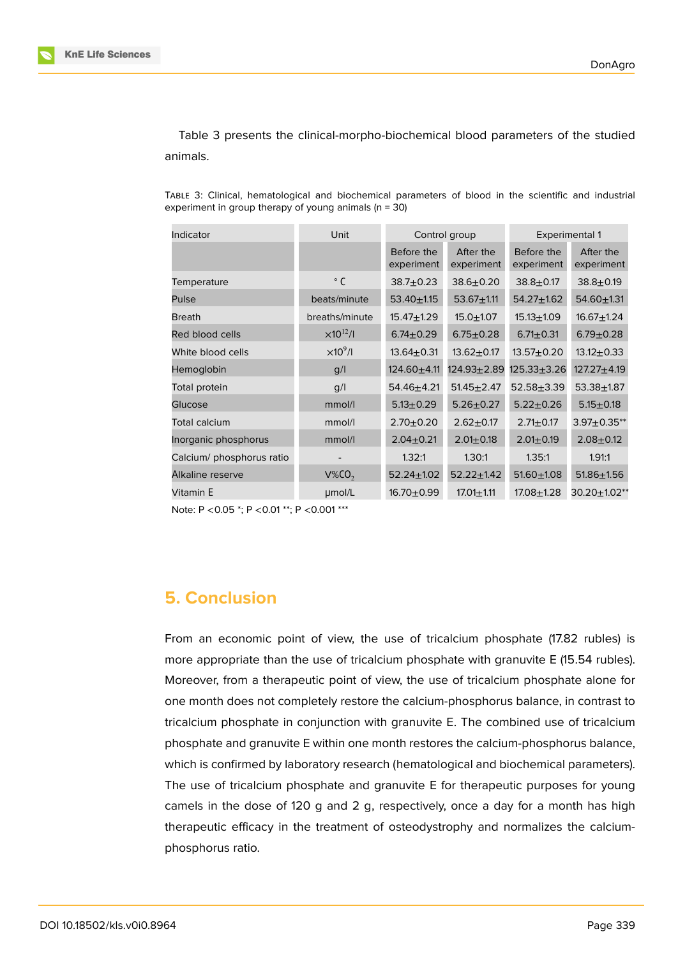

Table 3 presents the clinical-morpho-biochemical blood parameters of the studied animals.

TABLE 3: Clinical, hematological and biochemical parameters of blood in the scientific and industrial experiment in group therapy of young animals ( $n = 30$ )

| Indicator                 | Unit                | Control group            |                         | <b>Experimental 1</b>    |                         |
|---------------------------|---------------------|--------------------------|-------------------------|--------------------------|-------------------------|
|                           |                     | Before the<br>experiment | After the<br>experiment | Before the<br>experiment | After the<br>experiment |
| Temperature               | $\degree$ C         | $38.7 \pm 0.23$          | $38.6 + 0.20$           | $38.8 + 0.17$            | $38.8 + 0.19$           |
| Pulse                     | beats/minute        | $53.40 \pm 1.15$         | $53.67 + 1.11$          | $54.27 \pm 1.62$         | $54.60 \pm 1.31$        |
| <b>Breath</b>             | breaths/minute      | $15.47 + 1.29$           | $15.0 + 1.07$           | $15.13 + 1.09$           | $16.67 + 1.24$          |
| Red blood cells           | $\times 10^{12}$ /I | $6.74 \pm 0.29$          | $6.75 \pm 0.28$         | $6.71 \pm 0.31$          | $6.79 \pm 0.28$         |
| White blood cells         | $\times 10^9$ /l    | $13.64 + 0.31$           | $13.62 + 0.17$          | $13.57 + 0.20$           | $13.12 + 0.33$          |
| Hemoglobin                | g/l                 | $124.60 + 4.11$          | $124.93 \pm 2.89$       | $125.33 + 3.26$          | $127.27 + 4.19$         |
| Total protein             | g/l                 | $54.46 + 4.21$           | $51.45 \pm 2.47$        | $52.58 + 3.39$           | $53.38 + 1.87$          |
| Glucose                   | mmol/l              | $5.13 + 0.29$            | $5.26 + 0.27$           | $5.22 + 0.26$            | $5.15 \pm 0.18$         |
| Total calcium             | mmol/l              | $2.70 + 0.20$            | $2.62 + 0.17$           | $2.71 \pm 0.17$          | $3.97 \pm 0.35**$       |
| Inorganic phosphorus      | mmol/l              | $2.04 \pm 0.21$          | $2.01 \pm 0.18$         | $2.01 \pm 0.19$          | $2.08 + 0.12$           |
| Calcium/ phosphorus ratio |                     | 1.32:1                   | 1.30:1                  | 1.35:1                   | 1.91:1                  |
| Alkaline reserve          | $V\%CO$             | $52.24 \pm 1.02$         | $52.22 \pm 1.42$        | $51.60 + 1.08$           | $51.86 + 1.56$          |
| Vitamin E                 | umol/L              | $16.70 + 0.99$           | $17.01 \pm 1.11$        | $17.08 + 1.28$           | $30.20 \pm 1.02**$      |

Note: P <0.05 \*; P <0.01 \*\*; P <0.001 \*\*\*

# **5. Conclusion**

From an economic point of view, the use of tricalcium phosphate (17.82 rubles) is more appropriate than the use of tricalcium phosphate with granuvite E (15.54 rubles). Moreover, from a therapeutic point of view, the use of tricalcium phosphate alone for one month does not completely restore the calcium-phosphorus balance, in contrast to tricalcium phosphate in conjunction with granuvite E. The combined use of tricalcium phosphate and granuvite E within one month restores the calcium-phosphorus balance, which is confirmed by laboratory research (hematological and biochemical parameters). The use of tricalcium phosphate and granuvite E for therapeutic purposes for young camels in the dose of 120 g and 2 g, respectively, once a day for a month has high therapeutic efficacy in the treatment of osteodystrophy and normalizes the calciumphosphorus ratio.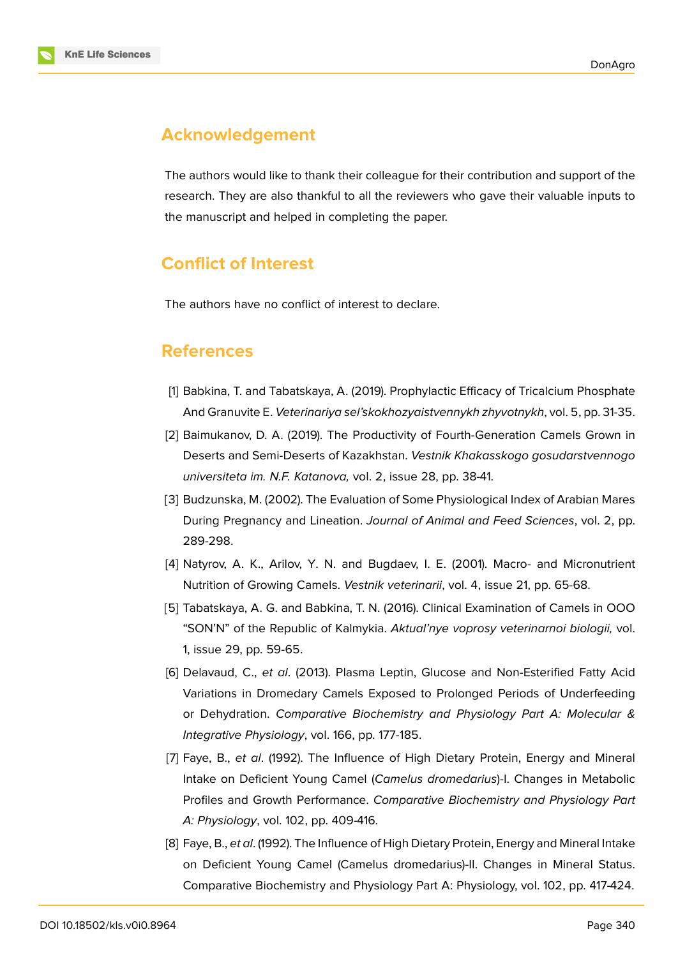

# **Acknowledgement**

The authors would like to thank their colleague for their contribution and support of the research. They are also thankful to all the reviewers who gave their valuable inputs to the manuscript and helped in completing the paper.

# **Conflict of Interest**

The authors have no conflict of interest to declare.

## **References**

- <span id="page-7-0"></span>[1] Babkina, T. and Tabatskaya, A. (2019). Prophylactic Efficacy of Tricalcium Phosphate And Granuvite E. *Veterinariya sel'skokhozyaistvennykh zhyvotnykh*, vol. 5, pp. 31-35.
- [2] Baimukanov, D. A. (2019). The Productivity of Fourth-Generation Camels Grown in Deserts and Semi-Deserts of Kazakhstan. *Vestnik Khakasskogo gosudarstvennogo universiteta im. N.F. Katanova,* vol. 2, issue 28, pp. 38-41.
- <span id="page-7-1"></span>[3] Budzunska, M. (2002). The Evaluation of Some Physiological Index of Arabian Mares During Pregnancy and Lineation. *Journal of Animal and Feed Sciences*, vol. 2, pp. 289-298.
- [4] Natyrov, A. K., Arilov, Y. N. and Bugdaev, I. E. (2001). Macro- and Micronutrient Nutrition of Growing Camels. *Vestnik veterinarii*, vol. 4, issue 21, pp. 65-68.
- [5] Tabatskaya, A. G. and Babkina, T. N. (2016). Clinical Examination of Camels in OOO "SON'N" of the Republic of Kalmykia. *Aktual'nye voprosy veterinarnoi biologii,* vol. 1, issue 29, pp. 59-65.
- [6] Delavaud, C., *et al*. (2013). Plasma Leptin, Glucose and Non-Esterified Fatty Acid Variations in Dromedary Camels Exposed to Prolonged Periods of Underfeeding or Dehydration. *Comparative Biochemistry and Physiology Part A: Molecular & Integrative Physiology*, vol. 166, pp. 177-185.
- <span id="page-7-2"></span>[7] Faye, B., *et al*. (1992). The Influence of High Dietary Protein, Energy and Mineral Intake on Deficient Young Camel (*Camelus dromedarius*)-I. Changes in Metabolic Profiles and Growth Performance. *Comparative Biochemistry and Physiology Part A: Physiology*, vol. 102, pp. 409-416.
- [8] Faye, B., *et al*. (1992). The Influence of High Dietary Protein, Energy and Mineral Intake on Deficient Young Camel (Camelus dromedarius)-II. Changes in Mineral Status. Comparative Biochemistry and Physiology Part A: Physiology, vol. 102, pp. 417-424.